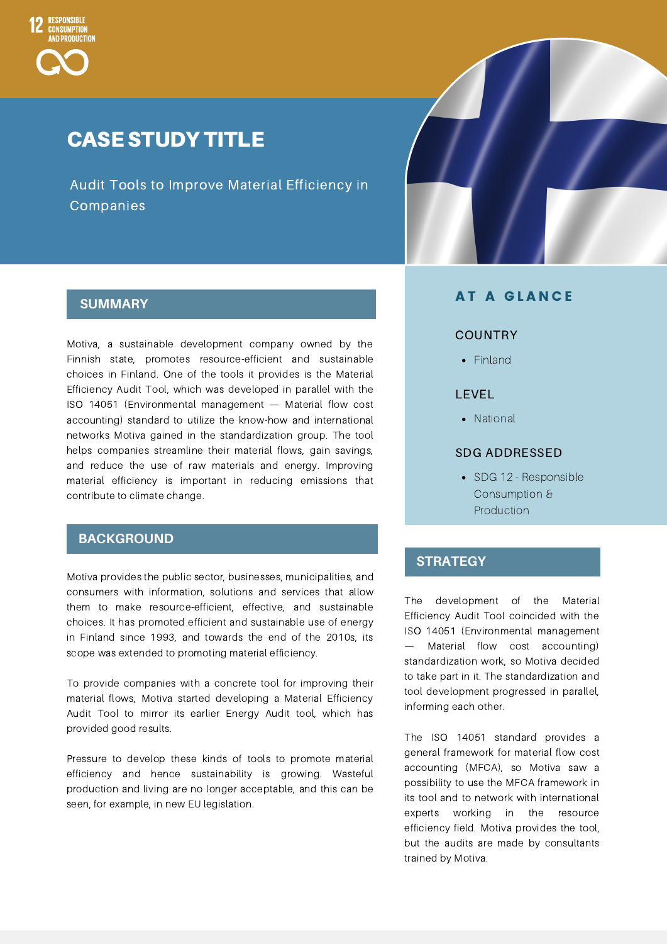

## CASE STUDY TITLE

Audit Tools to Improve Material Efficiency in Companies

#### **SUMMARY**

Motiva, a sustainable development company owned by the Finnish state, promotes resource-efficient and sustainable choices in Finland. One of the tools it provides is the Material Efficiency Audit Tool, which was developed in parallel with the ISO 14051 (Environmental management — Material flow cost accounting) standard to utilize the know-how and international networks Motiva gained in the standardization group. The tool helps companies streamline their material flows, gain savings, and reduce the use of raw materials and energy. Improving material efficiency is important in reducing emissions that contribute to climate change.

#### **BACKGROUND**

Motiva provides the public sector, businesses, municipalities, and consumers with information, solutions and services that allow them to make resource-efficient, effective, and sustainable choices. It has promoted efficient and sustainable use of energy in Finland since 1993, and towards the end of the 2010s, its scope was extended to promoting material efficiency.

To provide companies with a concrete tool for improving their material flows, Motiva started developing a Material Efficiency Audit Tool to mirror its earlier Energy Audit tool, which has provided good results.

Pressure to develop these kinds of tools to promote material efficiency and hence sustainability is growing. Wasteful production and living are no longer acceptable, and this can be seen, for example, in new EU legislation.

#### **AT A GLANCE**

#### COUNTRY

• Finland

#### LEVEL

• National

#### SDG ADDRESSED

• SDG 12 - Responsible Consumption & **Production** 

#### **STRATEGY**

The development of the Material Efficiency Audit Tool coincided with the ISO 14051 (Environmental management — Material flow cost accounting) standardization work, so Motiva decided to take part in it. The standardization and tool development progressed in parallel, informing each other.

The ISO 14051 standard provides a general framework for material flow cost accounting (MFCA), so Motiva saw a possibility to use the MFCA framework in its tool and to network with international experts working in the resource efficiency field. Motiva provides the tool, but the audits are made by consultants trained by Motiva.